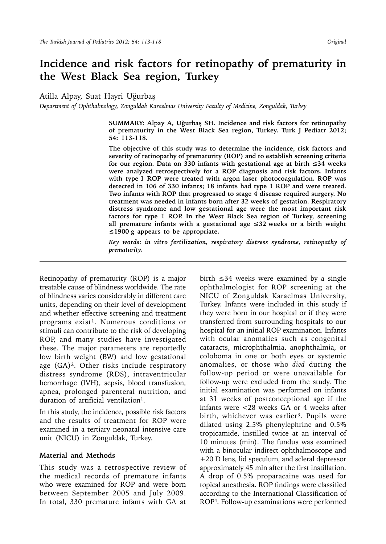# **Incidence and risk factors for retinopathy of prematurity in the West Black Sea region, Turkey**

Atilla Alpay, Suat Hayri Uğurbaş

*Department of Ophthalmology, Zonguldak Karaelmas University Faculty of Medicine, Zonguldak, Turkey*

**SUMMARY: Alpay A, Uğurbaş SH. Incidence and risk factors for retinopathy of prematurity in the West Black Sea region, Turkey. Turk J Pediatr 2012; 54: 113-118.**

**The objective of this study was to determine the incidence, risk factors and severity of retinopathy of prematurity (ROP) and to establish screening criteria for our region. Data on 330 infants with gestational age at birth ≤34 weeks were analyzed retrospectively for a ROP diagnosis and risk factors. Infants with type 1 ROP were treated with argon laser photocoagulation. ROP was detected in 106 of 330 infants; 18 infants had type 1 ROP and were treated. Two infants with ROP that progressed to stage 4 disease required surgery. No treatment was needed in infants born after 32 weeks of gestation. Respiratory distress syndrome and low gestational age were the most important risk factors for type 1 ROP. In the West Black Sea region of Turkey, screening all premature infants with a gestational age ≤32 weeks or a birth weight ≤1900 g appears to be appropriate.**

*Key words: in vitro fertilization, respiratory distress syndrome, retinopathy of prematurity.*

Retinopathy of prematurity (ROP) is a major treatable cause of blindness worldwide. The rate of blindness varies considerably in different care units, depending on their level of development and whether effective screening and treatment programs exist<sup>1</sup>. Numerous conditions or stimuli can contribute to the risk of developing ROP, and many studies have investigated these. The major parameters are reportedly low birth weight (BW) and low gestational age (GA)2. Other risks include respiratory distress syndrome (RDS), intraventricular hemorrhage (IVH), sepsis, blood transfusion, apnea, prolonged parenteral nutrition, and duration of artificial ventilation<sup>1</sup>.

In this study, the incidence, possible risk factors and the results of treatment for ROP were examined in a tertiary neonatal intensive care unit (NICU) in Zonguldak, Turkey.

### **Material and Methods**

This study was a retrospective review of the medical records of premature infants who were examined for ROP and were born between September 2005 and July 2009. In total, 330 premature infants with GA at

birth  $\leq$ 34 weeks were examined by a single ophthalmologist for ROP screening at the NICU of Zonguldak Karaelmas University, Turkey. Infants were included in this study if they were born in our hospital or if they were transferred from surrounding hospitals to our hospital for an initial ROP examination. Infants with ocular anomalies such as congenital cataracts, microphthalmia, anophthalmia, or coloboma in one or both eyes or systemic anomalies, or those who *died* during the follow-up period or were unavailable for follow-up were excluded from the study. The initial examination was performed on infants at 31 weeks of postconceptional age if the infants were <28 weeks GA or 4 weeks after birth, whichever was earlier<sup>3</sup>. Pupils were dilated using 2.5% phenylephrine and 0.5% tropicamide, instilled twice at an interval of 10 minutes (min). The fundus was examined with a binocular indirect ophthalmoscope and +20 D lens, lid speculum, and scleral depressor approximately 45 min after the first instillation. A drop of 0.5% proparacaine was used for topical anesthesia. ROP findings were classified according to the International Classification of ROP4. Follow-up examinations were performed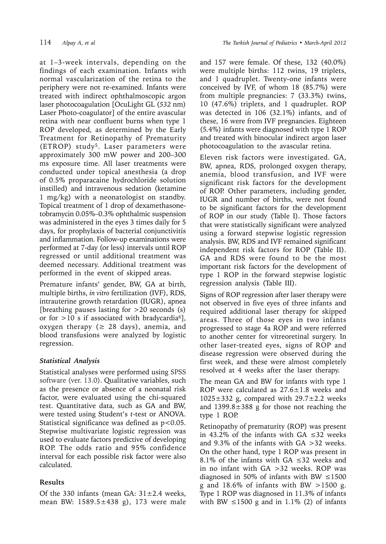at 1–3-week intervals, depending on the findings of each examination. Infants with normal vascularization of the retina to the periphery were not re-examined. Infants were treated with indirect ophthalmoscopic argon laser photocoagulation [OcuLight GL (*532* nm) Laser Photo-coagulator] of the entire avascular retina with near confluent burns when type 1 ROP developed, as determined by the Early Treatment for Retinopathy of Prematurity (ETROP) study<sup>5</sup>. Laser parameters were approximately 300 mW power and 200–300 ms exposure time. All laser treatments were conducted under topical anesthesia (a drop of 0.5% proparacaine hydrochloride solution instilled) and intravenous sedation (ketamine 1 mg/kg) with a neonatologist on standby. Topical treatment of 1 drop of dexamethasonetobramycin 0.05%–0.3% ophthalmic suspension was administered in the eyes 3 times daily for 5 days, for prophylaxis of bacterial conjunctivitis and inflammation. Follow-up examinations were performed at 7-day (or less) intervals until ROP regressed or until additional treatment was deemed necessary. Additional treatment was performed in the event of skipped areas.

Premature infants' gender, BW, GA at birth, multiple births, *in vitro* fertilization (IVF), RDS, intrauterine growth retardation (IUGR), apnea [breathing pauses lasting for  $>20$  seconds (s) or for  $>10$  s if associated with bradycardia<sup>6</sup>], oxygen therapy ( $\geq$  28 days), anemia, and blood transfusions were analyzed by logistic regression.

### *Statistical Analysis*

Statistical analyses were performed using SPSS software (ver. 13.0). Qualitative variables, such as the presence or absence of a neonatal risk factor, were evaluated using the chi-squared test. Quantitative data, such as GA and BW, were tested using Student's *t*-test or ANOVA. Statistical significance was defined as  $p < 0.05$ . Stepwise multivariate logistic regression was used to evaluate factors predictive of developing ROP. The odds ratio and 95% confidence interval for each possible risk factor were also calculated.

## **Results**

Of the 330 infants (mean GA:  $31 \pm 2.4$  weeks, mean BW: 1589.5±438 g), 173 were male and 157 were female. Of these, 132 (40.0%) were multiple births: 112 twins, 19 triplets, and 1 quadruplet. Twenty-one infants were conceived by IVF, of whom 18 (85.7%) were from multiple pregnancies: 7 (33.3%) twins, 10 (47.6%) triplets, and 1 quadruplet. ROP was detected in 106 (32.1%) infants, and of these, 16 were from IVF pregnancies. Eighteen (5.4%) infants were diagnosed with type 1 ROP and treated with binocular indirect argon laser photocoagulation to the avascular retina.

Eleven risk factors were investigated. GA, BW, apnea, RDS, prolonged oxygen therapy, anemia, blood transfusion, and IVF were significant risk factors for the development of ROP. Other parameters, including gender, IUGR and number of births, were not found to be significant factors for the development of ROP in our study (Table I). Those factors that were statistically significant were analyzed using a forward stepwise logistic regression analysis. BW, RDS and IVF remained significant independent risk factors for ROP (Table II). GA and RDS were found to be the most important risk factors for the development of type 1 ROP in the forward stepwise logistic regression analysis (Table III).

Signs of ROP regression after laser therapy were not observed in five eyes of three infants and required additional laser therapy for skipped areas. Three of those eyes in two infants progressed to stage 4a ROP and were referred to another center for vitreoretinal surgery. In other laser-treated eyes, signs of ROP and disease regression were observed during the first week, and these were almost completely resolved at 4 weeks after the laser therapy.

The mean GA and BW for infants with type 1 ROP were calculated as 27.6±1.8 weeks and  $1025\pm332$  g, compared with  $29.7\pm2.2$  weeks and 1399.8±388 g for those not reaching the type 1 ROP.

Retinopathy of prematurity (ROP) was present in 43.2% of the infants with GA ≤32 weeks and 9.3% of the infants with GA >32 weeks. On the other hand, type 1 ROP was present in 8.1% of the infants with GA  $\leq 32$  weeks and in no infant with GA >32 weeks. ROP was diagnosed in 50% of infants with BW  $\leq 1500$ g and  $18.6\%$  of infants with BW  $>1500$  g. Type 1 ROP was diagnosed in 11.3% of infants with BW  $\leq$ 1500 g and in 1.1% (2) of infants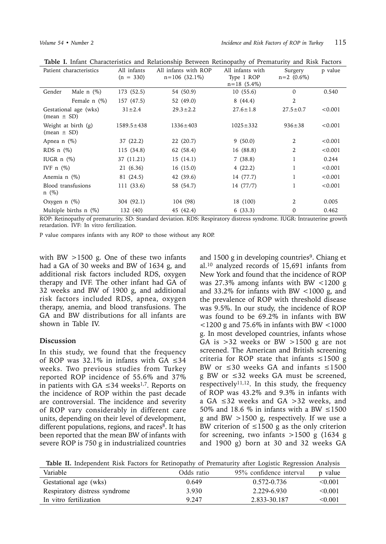| Patient characteristics                  |                   | All infants<br>$(n = 330)$ | All infants with ROP<br>$n=106(32.1\%)$ | All infants with<br>Type 1 ROP<br>$n = 18$ (5.4%) | Surgery<br>$n=2$ (0.6%) | p value |
|------------------------------------------|-------------------|----------------------------|-----------------------------------------|---------------------------------------------------|-------------------------|---------|
| Gender                                   | Male $n$ $(\%)$   | 173 (52.5)                 | 54 (50.9)                               | 10(55.6)                                          | 0                       | 0.540   |
|                                          | Female $n$ $(\%)$ | 157 (47.5)                 | 52 (49.0)                               | 8(44.4)                                           | 2                       |         |
| Gestational age (wks)<br>$(mean \pm SD)$ |                   | $31 \pm 2.4$               | $29.3 \pm 2.2$                          | $27.6 \pm 1.8$                                    | $27.5 \pm 0.7$          | < 0.001 |
| Weight at birth (g)<br>$(mean \pm SD)$   |                   | $1589.5 \pm 438$           | $1336 \pm 403$                          | $1025 \pm 332$                                    | $936 \pm 38$            | < 0.001 |
| Apnea $n$ $(\%)$                         |                   | 37 (22.2)                  | 22 (20.7)                               | 9(50.0)                                           | 2                       | < 0.001 |
| RDS $n$ $(\%)$                           |                   | 115 (34.8)                 | 62 (58.4)                               | 16 (88.8)                                         | 2                       | < 0.001 |
| IUGR $n$ $(\%)$                          |                   | 37 (11.21)                 | 15(14.1)                                | 7(38.8)                                           | 1                       | 0.244   |
| IVF $n$ $(\%)$                           |                   | 21 (6.36)                  | 16 (15.0)                               | 4(22.2)                                           |                         | < 0.001 |
| Anemia n $(\%)$                          |                   | 81 (24.5)                  | 42 (39.6)                               | 14 (77.7)                                         | 1                       | < 0.001 |
| Blood transfusions<br>$n \ (\%)$         |                   | 111 (33.6)                 | 58 (54.7)                               | 14 (77/7)                                         | 1                       | < 0.001 |
| Oxygen $n$ $(\%)$                        |                   | 304 (92.1)                 | 104 (98)                                | 18 (100)                                          | 2                       | 0.005   |
| Multiple births $n$ $(\%)$               |                   | 132 (40)                   | 45 (42.4)                               | 6(33.3)                                           | 0                       | 0.462   |

**Table I.** Infant Characteristics and Relationship Between Retinopathy of Prematurity and Risk Factors

ROP: Retinopathy of prematurity. SD: Standard deviation. RDS: Respiratory distress syndrome. IUGR: Intrauterine growth retardation. IVF: In vitro fertilization.

P value compares infants with any ROP to those without any ROP.

with BW  $>1500$  g. One of these two infants had a GA of 30 weeks and BW of 1634 g, and additional risk factors included RDS, oxygen therapy and IVF. The other infant had GA of 32 weeks and BW of 1900 g, and additional risk factors included RDS, apnea, oxygen therapy, anemia, and blood transfusions. The GA and BW distributions for all infants are shown in Table IV.

#### **Discussion**

In this study, we found that the frequency of ROP was 32.1% in infants with GA  $\leq 34$ weeks. Two previous studies from Turkey reported ROP incidence of 55.6% and 37% in patients with GA ≤34 weeks<sup>1,7</sup>. Reports on the incidence of ROP within the past decade are controversial. The incidence and severity of ROP vary considerably in different care units, depending on their level of development, different populations, regions, and races $8$ . It has been reported that the mean BW of infants with severe ROP is 750 g in industrialized countries and 1500 g in developing countries<sup>9</sup>. Chiang et al.10 analyzed records of 15,691 infants from New York and found that the incidence of ROP was 27.3% among infants with BW <1200 g and  $33.2\%$  for infants with BW <1000 g, and the prevalence of ROP with threshold disease was 9.5%. In our study, the incidence of ROP was found to be 69.2% in infants with BW  $<$ 1200 g and 75.6% in infants with BW  $<$ 1000 g. In most developed countries, infants whose GA is  $>32$  weeks or BW  $>1500$  g are not screened. The American and British screening criteria for ROP state that infants ≤1500 g BW or  $\leq 30$  weeks GA and infants  $\leq 1500$ g BW or ≤32 weeks GA must be screened, respectively<sup>11,12</sup>. In this study, the frequency of ROP was 43.2% and 9.3% in infants with a GA ≤32 weeks and GA >32 weeks, and 50% and 18.6 % in infants with a BW  $\leq$ 1500 g and BW >1500 g, respectively. If we use a BW criterion of  $\leq$ 1500 g as the only criterion for screening, two infants  $>1500$  g (1634 g) and 1900 g) born at 30 and 32 weeks GA

**Table II.** Independent Risk Factors for Retinopathy of Prematurity after Logistic Regression Analysis

| Variable                      | Odds ratio | 95% confidence interval | p value |
|-------------------------------|------------|-------------------------|---------|
| Gestational age (wks)         | 0.649      | 0.572-0.736             | < 0.001 |
| Respiratory distress syndrome | 3.930      | 2.229-6.930             | < 0.001 |
| In vitro fertilization        | 9 2 4 7    | 2.833-30.187            | < 0.001 |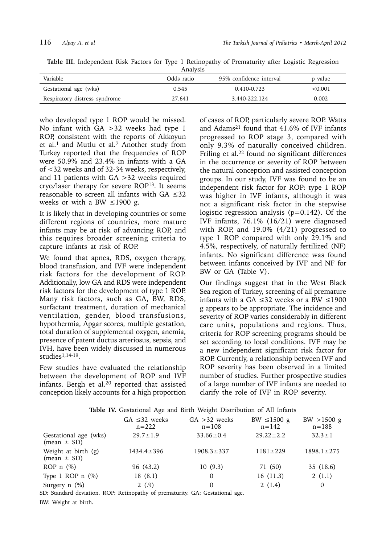**Table III.** Independent Risk Factors for Type 1 Retinopathy of Prematurity after Logistic Regression Analysis

| -----------                   |            |                         |         |  |  |  |
|-------------------------------|------------|-------------------------|---------|--|--|--|
| Variable                      | Odds ratio | 95% confidence interval | p value |  |  |  |
| Gestational age (wks)         | 0.545      | $0.410 - 0.723$         | < 0.001 |  |  |  |
| Respiratory distress syndrome | 27.641     | 3.440-222.124           | 0.002   |  |  |  |
|                               |            |                         |         |  |  |  |

who developed type 1 ROP would be missed. No infant with GA >32 weeks had type 1 ROP, consistent with the reports of Akkoyun et al.<sup>1</sup> and Mutlu et al.<sup>7</sup> Another study from Turkey reported that the frequencies of ROP were 50.9% and 23.4% in infants with a GA of <32 weeks and of 32-34 weeks, respectively, and 11 patients with GA >32 weeks required cryo/laser therapy for severe ROP13. It seems reasonable to screen all infants with GA ≤32 weeks or with a BW  $\leq$ 1900 g.

It is likely that in developing countries or some different regions of countries, more mature infants may be at risk of advancing ROP, and this requires broader screening criteria to capture infants at risk of ROP.

We found that apnea, RDS, oxygen therapy, blood transfusion, and IVF were independent risk factors for the development of ROP. Additionally, low GA and RDS were independent risk factors for the development of type 1 ROP. Many risk factors, such as GA, BW, RDS, surfactant treatment, duration of mechanical ventilation, gender, blood transfusions, hypothermia, Apgar scores, multiple gestation, total duration of supplemental oxygen, anemia, presence of patent ductus arteriosus, sepsis, and IVH, have been widely discussed in numerous studies1,14-19.

Few studies have evaluated the relationship between the development of ROP and IVF infants. Bergh et al.<sup>20</sup> reported that assisted conception likely accounts for a high proportion

of cases of ROP, particularly severe ROP. Watts and Adams21 found that 41.6% of IVF infants progressed to ROP stage 3, compared with only 9.3% of naturally conceived children. Friling et al.<sup>22</sup> found no significant differences in the occurrence or severity of ROP between the natural conception and assisted conception groups. In our study, IVF was found to be an independent risk factor for ROP: type 1 ROP was higher in IVF infants, although it was not a significant risk factor in the stepwise logistic regression analysis  $(p=0.142)$ . Of the IVF infants, 76.1% (16/21) were diagnosed with ROP, and 19.0% (4/21) progressed to type 1 ROP compared with only 29.1% and 4.5%, respectively, of naturally fertilized (NF) infants. No significant difference was found between infants conceived by IVF and NF for BW or GA (Table V).

Our findings suggest that in the West Black Sea region of Turkey, screening of all premature infants with a GA  $\leq$ 32 weeks or a BW  $\leq$ 1900 g appears to be appropriate. The incidence and severity of ROP varies considerably in different care units, populations and regions. Thus, criteria for ROP screening programs should be set according to local conditions. IVF may be a new independent significant risk factor for ROP. Currently, a relationship between IVF and ROP severity has been observed in a limited number of studies. Further prospective studies of a large number of IVF infants are needed to clarify the role of IVF in ROP severity.

| <b>Table TV.</b> Gestational Age and Birth weight Distribution of All Infants |                                 |                              |                               |                          |  |  |
|-------------------------------------------------------------------------------|---------------------------------|------------------------------|-------------------------------|--------------------------|--|--|
|                                                                               | $GA \leq 32$ weeks<br>$n = 222$ | $GA > 32$ weeks<br>$n = 108$ | BW $\leq$ 1500 g<br>$n = 142$ | BW > 1500 g<br>$n = 188$ |  |  |
| Gestational age (wks)<br>$(\text{mean} \pm \text{SD})$                        | $29.7 \pm 1.9$                  | $33.66 \pm 0.4$              | $29.22 \pm 2.2$               | $32.3 \pm 1$             |  |  |
| Weight at birth (g)<br>$(\text{mean} \pm \text{SD})$                          | $1434.4 \pm 396$                | $1908.3 \pm 337$             | $1181 \pm 229$                | $1898.1 \pm 275$         |  |  |
| ROP $n$ (%)                                                                   | 96 (43.2)                       | 10(9.3)                      | 71 (50)                       | 35 (18.6)                |  |  |
| Type 1 ROP $n$ (%)                                                            | 18(8.1)                         | 0                            | 16(11.3)                      | 2(1.1)                   |  |  |
| Surgery $n$ (%)                                                               | 2(.9)                           | $\Omega$                     | 2(1.4)                        | 0                        |  |  |

**Table IV.** Gestational Age and Birth Weight Distribution of All Infants

SD: Standard deviation. ROP: Retinopathy of prematurity. GA: Gestational age.

BW: Weight at birth.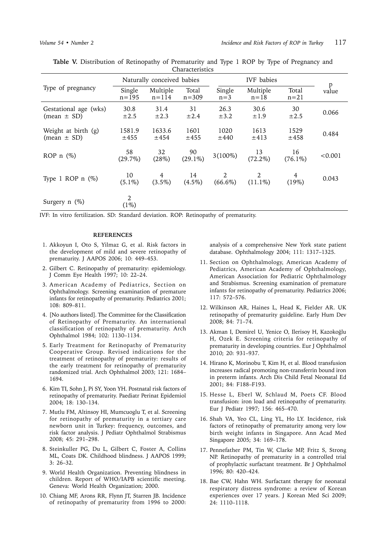|                                                        | Naturally conceived babies |                       |                    | <b>IVF</b> babies |                      |                  |            |
|--------------------------------------------------------|----------------------------|-----------------------|--------------------|-------------------|----------------------|------------------|------------|
| Type of pregnancy                                      | Single<br>$n = 195$        | Multiple<br>$n = 114$ | Total<br>$n = 309$ | Single<br>$n=3$   | Multiple<br>$n = 18$ | Total<br>$n=21$  | p<br>value |
| Gestational age (wks)<br>$(\text{mean} \pm \text{SD})$ | 30.8<br>$\pm 2.5$          | 31.4<br>$\pm 2.3$     | 31<br>$\pm 2.4$    | 26.3<br>$\pm 3.2$ | 30.6<br>$\pm 1.9$    | 30<br>$\pm 2.5$  | 0.066      |
| Weight at birth (g)<br>(mean $\pm$ SD)                 | 1581.9<br>$\pm 455$        | 1633.6<br>±454        | 1601<br>$\pm 455$  | 1020<br>±440      | 1613<br>$\pm 413$    | 1529<br>±458     | 0.484      |
| ROP $n$ (%)                                            | 58<br>(29.7%)              | 32<br>(28%)           | 90<br>$(29.1\%)$   | $3(100\%)$        | 13<br>$(72.2\%)$     | 16<br>$(76.1\%)$ | < 0.001    |
| Type 1 ROP $n$ $(\%)$                                  | 10<br>$(5.1\%)$            | 4<br>$(3.5\%)$        | 14<br>$(4.5\%)$    | 2<br>$(66.6\%)$   | 2<br>$(11.1\%)$      | 4<br>(19%)       | 0.043      |
| Surgery $n$ $(\%)$                                     | 2<br>$(1\%)$               |                       |                    |                   |                      |                  |            |

**Table V.** Distribution of Retinopathy of Prematurity and Type 1 ROP by Type of Pregnancy and Characteristics

IVF: In vitro fertilization. SD: Standard deviation. ROP: Retinopathy of prematurity.

#### **REFERENCES**

- 1. Akkoyun I, Oto S, Yilmaz G, et al. Risk factors in the development of mild and severe retinopathy of prematurity. J AAPOS 2006; 10: 449–453.
- 2. Gilbert C. Retinopathy of prematurity: epidemiology. J Comm Eye Health 1997; 10: 22–24.
- 3. American Academy of Pediatrics, Section on Ophthalmology. Screening examination of premature infants for retinopathy of prematurity. Pediatrics 2001; 108: 809–811.
- 4. [No authors listed]. The Committee for the Classification of Retinopathy of Prematurity. An international classification of retinopathy of prematurity. Arch Ophthalmol 1984; 102: 1130–1134.
- 5. Early Treatment for Retinopathy of Prematurity Cooperative Group. Revised indications for the treatment of retinopathy of prematurity: results of the early treatment for retinopathy of prematurity randomized trial. Arch Ophthalmol 2003; 121: 1684– 1694.
- 6. Kim TI, Sohn J, Pi SY, Yoon YH. Postnatal risk factors of retinopathy of prematurity. Paediatr Perinat Epidemiol 2004; 18: 130–134.
- 7. Mutlu FM, Altinsoy HI, Mumcuoglu T, et al. Screening for retinopathy of prematurity in a tertiary care newborn unit in Turkey: frequency, outcomes, and risk factor analysis. J Pediatr Ophthalmol Strabismus 2008; 45: 291–298.
- 8. Steinkuller PG, Du L, Gilbert C, Foster A, Collins ML, Coats DK. Childhood blindness. J AAPOS 1999; 3: 26–32.
- 9. World Health Organization. Preventing blindness in children. Report of WHO/IAPB scientific meeting. Geneva: World Health Organization; 2000.
- 10. Chiang MF, Arons RR, Flynn JT, Starren JB. Incidence of retinopathy of prematurity from 1996 to 2000:

analysis of a comprehensive New York state patient database. Ophthalmology 2004; 111: 1317–1325.

- 11. Section on Ophthalmology, American Academy of Pediatrics, American Academy of Ophthalmology, American Association for Pediatric Ophthalmology and Strabismus. Screening examination of premature infants for retinopathy of prematurity. Pediatrics 2006; 117: 572–576.
- 12. Wilkinson AR, Haines L, Head K, Fielder AR. UK retinopathy of prematurity guideline. Early Hum Dev 2008; 84: 71–74.
- 13. Akman I, Demirel U, Yenice O, Ilerisoy H, Kazokoğlu H, Ozek E. Screening criteria for retinopathy of prematurity in developing countries. Eur J Ophthalmol 2010; 20: 931–937.
- 14. Hirano K, Morinobu T, Kim H, et al. Blood transfusion increases radical promoting non-transferrin bound iron in preterm infants. Arch Dis Child Fetal Neonatal Ed 2001; 84: F188–F193.
- 15. Hesse L, Eberl W, Schlaud M, Poets CF. Blood transfusion: iron load and retinopathy of prematurity. Eur J Pediatr 1997; 156: 465–470.
- 16. Shah VA, Yeo CL, Ling YL, Ho LY. Incidence, risk factors of retinopathy of prematurity among very low birth weight infants in Singapore. Ann Acad Med Singapore 2005; 34: 169–178.
- 17. Pennefather PM, Tin W, Clarke MP, Fritz S, Strong NP. Retinopathy of prematurity in a controlled trial of prophylactic surfactant treatment. Br J Ophthalmol 1996; 80: 420–424.
- 18. Bae CW, Hahn WH. Surfactant therapy for neonatal respiratory distress syndrome: a review of Korean experiences over 17 years. J Korean Med Sci 2009; 24: 1110–1118.